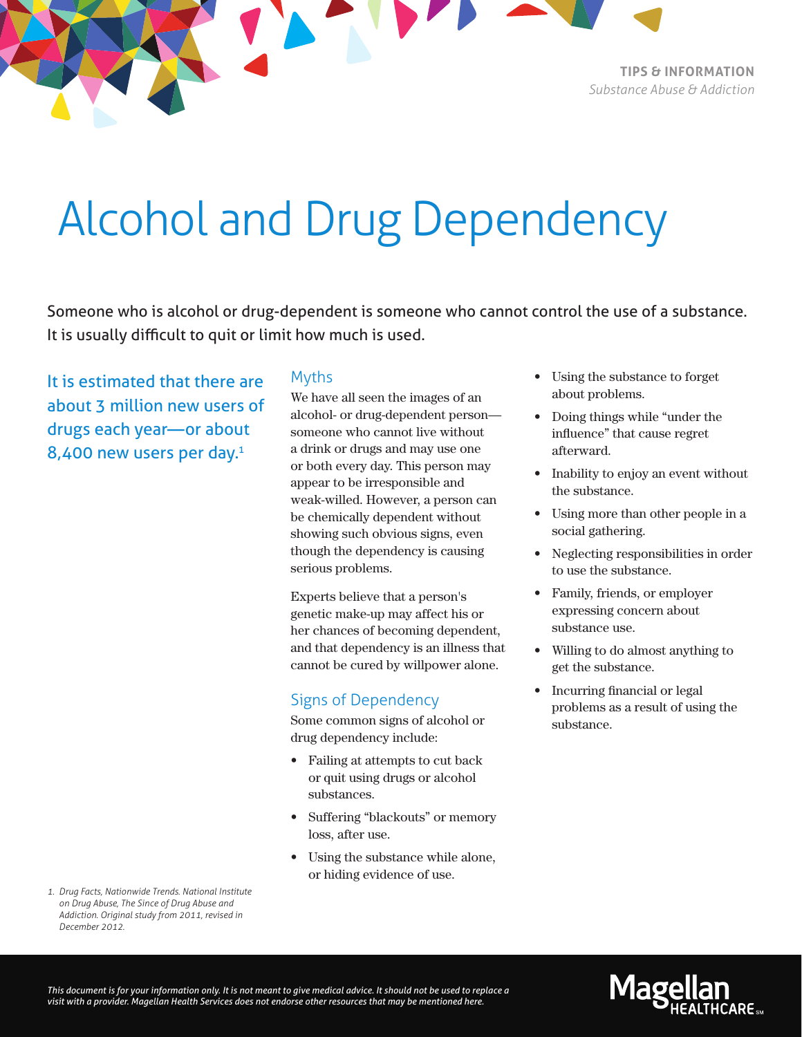**TIPS & INFORMATION** *Substance Abuse & Addiction*

# Alcohol and Drug Dependency

Someone who is alcohol or drug-dependent is someone who cannot control the use of a substance. It is usually difficult to quit or limit how much is used.

It is estimated that there are about 3 million new users of drugs each year—or about 8,400 new users per day.<sup>1</sup>

### Myths

We have all seen the images of an alcohol- or drug-dependent person someone who cannot live without a drink or drugs and may use one or both every day. This person may appear to be irresponsible and weak-willed. However, a person can be chemically dependent without showing such obvious signs, even though the dependency is causing serious problems.

Experts believe that a person's genetic make-up may affect his or her chances of becoming dependent, and that dependency is an illness that cannot be cured by willpower alone.

#### Signs of Dependency

Some common signs of alcohol or drug dependency include:

- Failing at attempts to cut back or quit using drugs or alcohol substances.
- Suffering "blackouts" or memory loss, after use.
- Using the substance while alone, or hiding evidence of use.
- Using the substance to forget about problems.
- Doing things while "under the influence" that cause regret afterward.
- Inability to enjoy an event without the substance.
- Using more than other people in a social gathering.
- Neglecting responsibilities in order to use the substance.
- Family, friends, or employer expressing concern about substance use.
- Willing to do almost anything to get the substance.
- Incurring financial or legal problems as a result of using the substance.

*1. Drug Facts, Nationwide Trends. National Institute on Drug Abuse, The Since of Drug Abuse and Addiction. Original study from 2011, revised in December 2012.*